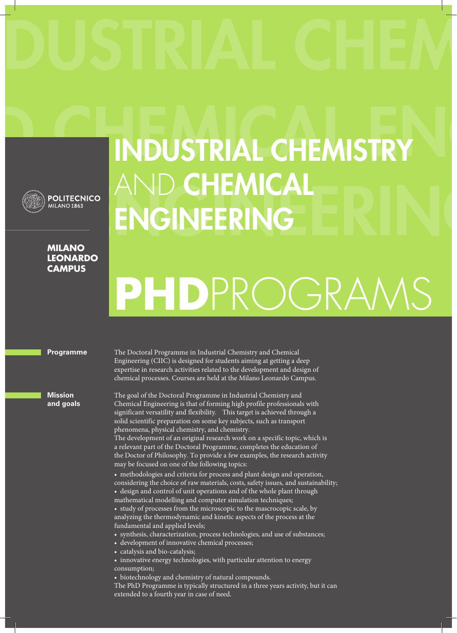

### **POLITECNICO MILANO 1863**

### **MILANO LEONARDO CAMPUS**

## INDUSTRIAL CHEMISTRY AND CHEMICAL ENGINEERING

# **PHD**PROGRAMS

#### **Programme**

**Mission and goals** The Doctoral Programme in Industrial Chemistry and Chemical Engineering (CIIC) is designed for students aiming at getting a deep expertise in research activities related to the development and design of chemical processes. Courses are held at the Milano Leonardo Campus.

The goal of the Doctoral Programme in Industrial Chemistry and Chemical Engineering is that of forming high profile professionals with significant versatility and flexibility. This target is achieved through a solid scientific preparation on some key subjects, such as transport phenomena, physical chemistry, and chemistry.

The development of an original research work on a specific topic, which is a relevant part of the Doctoral Programme, completes the education of the Doctor of Philosophy. To provide a few examples, the research activity may be focused on one of the following topics:

• methodologies and criteria for process and plant design and operation, considering the choice of raw materials, costs, safety issues, and sustainability; • design and control of unit operations and of the whole plant through mathematical modelling and computer simulation techniques;

• study of processes from the microscopic to the mascrocopic scale, by analyzing the thermodynamic and kinetic aspects of the process at the fundamental and applied levels;

• synthesis, characterization, process technologies, and use of substances;

- development of innovative chemical processes;
- catalysis and bio-catalysis;
- innovative energy technologies, with particular attention to energy consumption;
- biotechnology and chemistry of natural compounds.

The PhD Programme is typically structured in a three years activity, but it can extended to a fourth year in case of need.